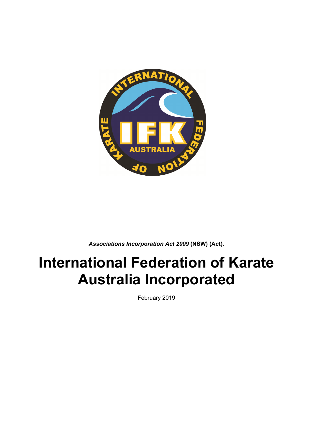

*Associations Incorporation Act 2009* **(NSW) (Act).** 

# **International Federation of Karate Australia Incorporated**

February 2019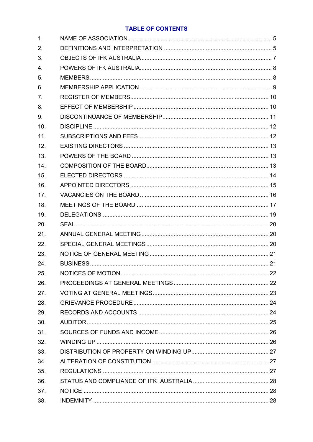#### **TABLE OF CONTENTS**

| 1.             |  |
|----------------|--|
| 2.             |  |
| 3.             |  |
| 4.             |  |
| 5.             |  |
| 6.             |  |
| 7 <sub>1</sub> |  |
| 8.             |  |
| 9.             |  |
| 10.            |  |
| 11.            |  |
| 12.            |  |
| 13.            |  |
| 14.            |  |
| 15.            |  |
| 16.            |  |
| 17.            |  |
| 18.            |  |
| 19.            |  |
| 20.            |  |
| 21.            |  |
| 22.            |  |
| 23.            |  |
| 24.            |  |
| 25.            |  |
| 26.            |  |
| 27.            |  |
| 28.            |  |
| 29.            |  |
| 30.            |  |
| 31.            |  |
| 32.            |  |
| 33.            |  |
| 34.            |  |
| 35.            |  |
| 36.            |  |
| 37.            |  |
| 38.            |  |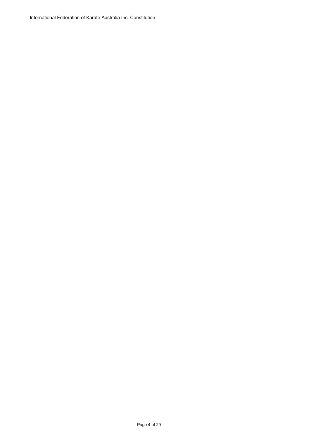International Federation of Karate Australia Inc. Constitution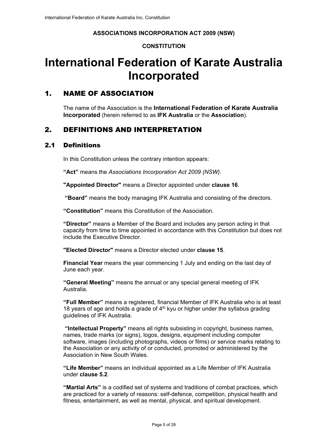#### **ASSOCIATIONS INCORPORATION ACT 2009 (NSW)**

#### **CONSTITUTION**

## **International Federation of Karate Australia Incorporated**

#### 1. NAME OF ASSOCIATION

The name of the Association is the **International Federation of Karate Australia Incorporated** (herein referred to as **IFK Australia** or the **Association**).

#### 2. DEFINITIONS AND INTERPRETATION

#### 2.1 Definitions

In this Constitution unless the contrary intention appears:

**"Act"** means the *Associations Incorporation Act 2009 (NSW)*.

**"Appointed Director"** means a Director appointed under **clause 16**.

 **"Board"** means the body managing IFK Australia and consisting of the directors.

**"Constitution"** means this Constitution of the Association.

**"Director"** means a Member of the Board and includes any person acting in that capacity from time to time appointed in accordance with this Constitution but does not include the Executive Director.

**"Elected Director"** means a Director elected under **clause 15**.

**Financial Year** means the year commencing 1 July and ending on the last day of June each year.

**"General Meeting"** means the annual or any special general meeting of IFK Australia.

**"Full Member"** means a registered, financial Member of IFK Australia who is at least 18 years of age and holds a grade of  $4<sup>th</sup>$  kyu or higher under the syllabus grading guidelines of IFK Australia.

 **"Intellectual Property"** means all rights subsisting in copyright, business names, names, trade marks (or signs), logos, designs, equipment including computer software, images (including photographs, videos or films) or service marks relating to the Association or any activity of or conducted, promoted or administered by the Association in New South Wales.

**"Life Member"** means an Individual appointed as a Life Member of IFK Australia under **clause 5.2**.

**"Martial Arts"** is a codified set of systems and traditions of combat practices, which are practiced for a variety of reasons: self-defence, competition, physical health and fitness, entertainment, as well as mental, physical, and spiritual development.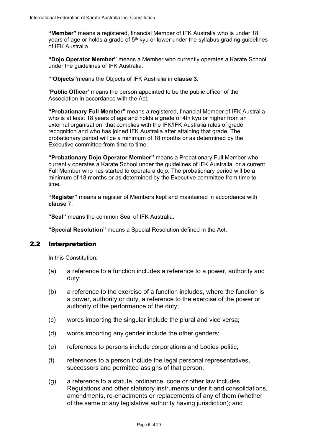**"Member"** means a registered, financial Member of IFK Australia who is under 18 years of age or holds a grade of  $5<sup>th</sup>$  kyu or lower under the syllabus grading guidelines of IFK Australia.

**"Dojo Operator Member"** means a Member who currently operates a Karate School under the guidelines of IFK Australia.

**"'Objects"**means the Objects of IFK Australia in **clause 3**.

**'Public Officer'** means the person appointed to be the public officer of the Association in accordance with the Act.

**"Probationary Full Member"** means a registered, financial Member of IFK Australia who is at least 18 years of age and holds a grade of 4th kyu or higher from an external organisation that complies with the IFK/IFK Australia rules of grade recognition and who has joined IFK Australia after attaining that grade. The probationary period will be a minimum of 18 months or as determined by the Executive committee from time to time.

**"Probationary Dojo Operator Member"** means a Probationary Full Member who currently operates a Karate School under the guidelines of IFK Australia, or a current Full Member who has started to operate a dojo. The probationary period will be a minimum of 18 months or as determined by the Executive committee from time to time.

**"Register"** means a register of Members kept and maintained in accordance with **clause** 7.

**"Seal"** means the common Seal of IFK Australia.

**"Special Resolution"** means a Special Resolution defined in the Act.

#### 2.2 Interpretation

In this Constitution:

- (a) a reference to a function includes a reference to a power, authority and duty;
- (b) a reference to the exercise of a function includes, where the function is a power, authority or duty, a reference to the exercise of the power or authority of the performance of the duty;
- (c) words importing the singular include the plural and vice versa;
- (d) words importing any gender include the other genders;
- (e) references to persons include corporations and bodies politic;
- (f) references to a person include the legal personal representatives, successors and permitted assigns of that person;
- (g) a reference to a statute, ordinance, code or other law includes Regulations and other statutory instruments under it and consolidations, amendments, re-enactments or replacements of any of them (whether of the same or any legislative authority having jurisdiction); and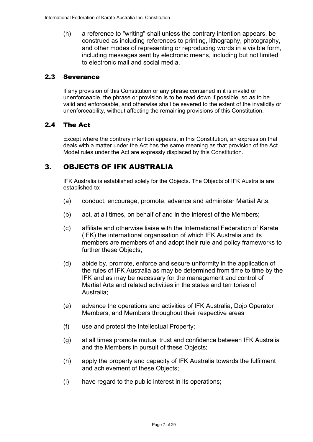(h) a reference to "writing" shall unless the contrary intention appears, be construed as including references to printing, lithography, photography, and other modes of representing or reproducing words in a visible form, including messages sent by electronic means, including but not limited to electronic mail and social media.

## 2.3 Severance

If any provision of this Constitution or any phrase contained in it is invalid or unenforceable, the phrase or provision is to be read down if possible, so as to be valid and enforceable, and otherwise shall be severed to the extent of the invalidity or unenforceability, without affecting the remaining provisions of this Constitution.

## 2.4 The Act

Except where the contrary intention appears, in this Constitution, an expression that deals with a matter under the Act has the same meaning as that provision of the Act. Model rules under the Act are expressly displaced by this Constitution.

## 3. OBJECTS OF IFK AUSTRALIA

IFK Australia is established solely for the Objects. The Objects of IFK Australia are established to:

- (a) conduct, encourage, promote, advance and administer Martial Arts;
- (b) act, at all times, on behalf of and in the interest of the Members;
- (c) affiliate and otherwise liaise with the International Federation of Karate (IFK) the international organisation of which IFK Australia and its members are members of and adopt their rule and policy frameworks to further these Objects;
- (d) abide by, promote, enforce and secure uniformity in the application of the rules of IFK Australia as may be determined from time to time by the IFK and as may be necessary for the management and control of Martial Arts and related activities in the states and territories of Australia;
- (e) advance the operations and activities of IFK Australia, Dojo Operator Members, and Members throughout their respective areas
- (f) use and protect the Intellectual Property;
- (g) at all times promote mutual trust and confidence between IFK Australia and the Members in pursuit of these Objects;
- (h) apply the property and capacity of IFK Australia towards the fulfilment and achievement of these Objects;
- (i) have regard to the public interest in its operations;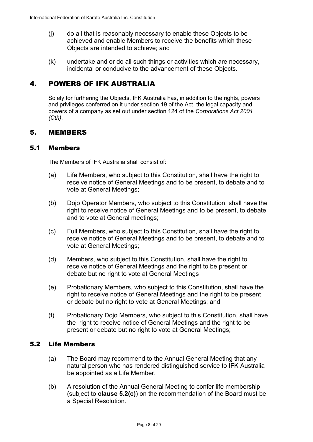- (j) do all that is reasonably necessary to enable these Objects to be achieved and enable Members to receive the benefits which these Objects are intended to achieve; and
- (k) undertake and or do all such things or activities which are necessary, incidental or conducive to the advancement of these Objects.

## 4. POWERS OF IFK AUSTRALIA

Solely for furthering the Objects, IFK Australia has, in addition to the rights, powers and privileges conferred on it under section 19 of the Act, the legal capacity and powers of a company as set out under section 124 of the *Corporations Act 2001 (Cth)*.

## 5. MEMBERS

#### 5.1 Members

The Members of IFK Australia shall consist of:

- (a) Life Members, who subject to this Constitution, shall have the right to receive notice of General Meetings and to be present, to debate and to vote at General Meetings;
- (b) Dojo Operator Members, who subject to this Constitution, shall have the right to receive notice of General Meetings and to be present, to debate and to vote at General meetings;
- (c) Full Members, who subject to this Constitution, shall have the right to receive notice of General Meetings and to be present, to debate and to vote at General Meetings;
- (d) Members, who subject to this Constitution, shall have the right to receive notice of General Meetings and the right to be present or debate but no right to vote at General Meetings
- (e) Probationary Members, who subject to this Constitution, shall have the right to receive notice of General Meetings and the right to be present or debate but no right to vote at General Meetings; and
- (f) Probationary Dojo Members, who subject to this Constitution, shall have the right to receive notice of General Meetings and the right to be present or debate but no right to vote at General Meetings;

#### 5.2 Life Members

- (a) The Board may recommend to the Annual General Meeting that any natural person who has rendered distinguished service to IFK Australia be appointed as a Life Member.
- (b) A resolution of the Annual General Meeting to confer life membership (subject to **clause 5.2(c)**) on the recommendation of the Board must be a Special Resolution.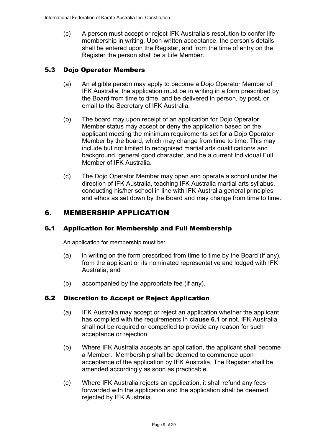(c) A person must accept or reject IFK Australia's resolution to confer life membership in writing. Upon written acceptance, the person's details shall be entered upon the Register, and from the time of entry on the Register the person shall be a Life Member.

## 5.3 Dojo Operator Members

- (a) An eligible person may apply to become a Dojo Operator Member of IFK Australia, the application must be in writing in a form prescribed by the Board from time to time, and be delivered in person, by post, or email to the Secretary of IFK Australia.
- (b) The board may upon receipt of an application for Dojo Operator Member status may accept or deny the application based on the applicant meeting the minimum requirements set for a Dojo Operator Member by the board, which may change from time to time. This may include but not limited to recognised martial arts qualification/s and background, general good character, and be a current Individual Full Member of IFK Australia.
- (c) The Dojo Operator Member may open and operate a school under the direction of IFK Australia, teaching IFK Australia martial arts syllabus, conducting his/her school in line with IFK Australia general principles and ethos as set down by the Board and may change from time to time.

## 6. MEMBERSHIP APPLICATION

#### 6.1 Application for Membership and Full Membership

An application for membership must be:

- (a) in writing on the form prescribed from time to time by the Board (if any), from the applicant or its nominated representative and lodged with IFK Australia; and
- (b) accompanied by the appropriate fee (if any).

#### 6.2 Discretion to Accept or Reject Application

- (a) IFK Australia may accept or reject an application whether the applicant has complied with the requirements in **clause 6.1** or not. IFK Australia shall not be required or compelled to provide any reason for such acceptance or rejection.
- (b) Where IFK Australia accepts an application, the applicant shall become a Member. Membership shall be deemed to commence upon acceptance of the application by IFK Australia. The Register shall be amended accordingly as soon as practicable.
- (c) Where IFK Australia rejects an application, it shall refund any fees forwarded with the application and the application shall be deemed rejected by IFK Australia.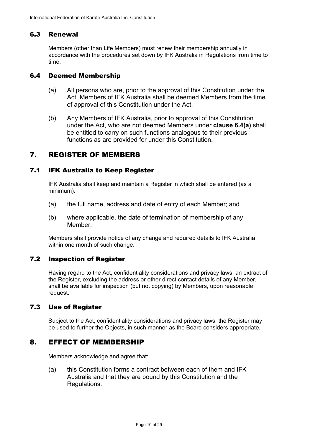## 6.3 Renewal

Members (other than Life Members) must renew their membership annually in accordance with the procedures set down by IFK Australia in Regulations from time to time.

#### 6.4 Deemed Membership

- (a) All persons who are, prior to the approval of this Constitution under the Act, Members of IFK Australia shall be deemed Members from the time of approval of this Constitution under the Act.
- (b) Any Members of IFK Australia, prior to approval of this Constitution under the Act, who are not deemed Members under **clause 6.4(a)** shall be entitled to carry on such functions analogous to their previous functions as are provided for under this Constitution.

## 7. REGISTER OF MEMBERS

#### 7.1 IFK Australia to Keep Register

IFK Australia shall keep and maintain a Register in which shall be entered (as a minimum):

- (a) the full name, address and date of entry of each Member; and
- (b) where applicable, the date of termination of membership of any Member.

Members shall provide notice of any change and required details to IFK Australia within one month of such change.

#### 7.2 Inspection of Register

Having regard to the Act, confidentiality considerations and privacy laws, an extract of the Register, excluding the address or other direct contact details of any Member, shall be available for inspection (but not copying) by Members, upon reasonable request.

#### 7.3 Use of Register

Subject to the Act, confidentiality considerations and privacy laws, the Register may be used to further the Objects, in such manner as the Board considers appropriate.

## 8. EFFECT OF MEMBERSHIP

Members acknowledge and agree that:

(a) this Constitution forms a contract between each of them and IFK Australia and that they are bound by this Constitution and the Regulations.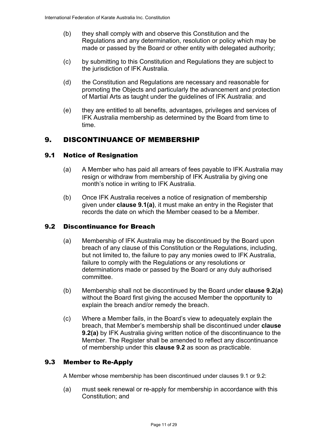- (b) they shall comply with and observe this Constitution and the Regulations and any determination, resolution or policy which may be made or passed by the Board or other entity with delegated authority;
- (c) by submitting to this Constitution and Regulations they are subject to the jurisdiction of IFK Australia.
- (d) the Constitution and Regulations are necessary and reasonable for promoting the Objects and particularly the advancement and protection of Martial Arts as taught under the guidelines of IFK Australia; and
- (e) they are entitled to all benefits, advantages, privileges and services of IFK Australia membership as determined by the Board from time to time.

## 9. DISCONTINUANCE OF MEMBERSHIP

#### 9.1 Notice of Resignation

- (a) A Member who has paid all arrears of fees payable to IFK Australia may resign or withdraw from membership of IFK Australia by giving one month's notice in writing to IFK Australia.
- (b) Once IFK Australia receives a notice of resignation of membership given under **clause 9.1(a)**, it must make an entry in the Register that records the date on which the Member ceased to be a Member.

#### 9.2 Discontinuance for Breach

- (a) Membership of IFK Australia may be discontinued by the Board upon breach of any clause of this Constitution or the Regulations, including, but not limited to, the failure to pay any monies owed to IFK Australia, failure to comply with the Regulations or any resolutions or determinations made or passed by the Board or any duly authorised committee.
- (b) Membership shall not be discontinued by the Board under **clause 9.2(a)** without the Board first giving the accused Member the opportunity to explain the breach and/or remedy the breach.
- (c) Where a Member fails, in the Board's view to adequately explain the breach, that Member's membership shall be discontinued under **clause 9.2(a)** by IFK Australia giving written notice of the discontinuance to the Member. The Register shall be amended to reflect any discontinuance of membership under this **clause 9.2** as soon as practicable.

#### 9.3 Member to Re-Apply

A Member whose membership has been discontinued under clauses 9.1 or 9.2:

(a) must seek renewal or re-apply for membership in accordance with this Constitution; and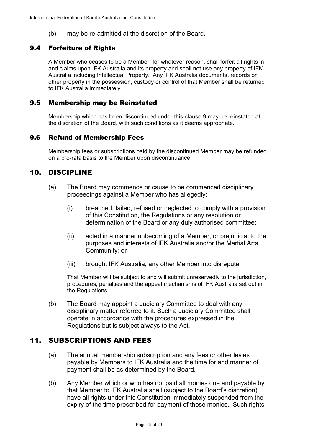(b) may be re-admitted at the discretion of the Board.

#### 9.4 Forfeiture of Rights

A Member who ceases to be a Member, for whatever reason, shall forfeit all rights in and claims upon IFK Australia and its property and shall not use any property of IFK Australia including Intellectual Property. Any IFK Australia documents, records or other property in the possession, custody or control of that Member shall be returned to IFK Australia immediately.

#### 9.5 Membership may be Reinstated

Membership which has been discontinued under this clause 9 may be reinstated at the discretion of the Board, with such conditions as it deems appropriate.

#### 9.6 Refund of Membership Fees

Membership fees or subscriptions paid by the discontinued Member may be refunded on a pro-rata basis to the Member upon discontinuance.

## 10. DISCIPLINE

- (a) The Board may commence or cause to be commenced disciplinary proceedings against a Member who has allegedly:
	- (i) breached, failed, refused or neglected to comply with a provision of this Constitution, the Regulations or any resolution or determination of the Board or any duly authorised committee;
	- (ii) acted in a manner unbecoming of a Member, or prejudicial to the purposes and interests of IFK Australia and/or the Martial Arts Community; or
	- (iii) brought IFK Australia, any other Member into disrepute.

That Member will be subject to and will submit unreservedly to the jurisdiction, procedures, penalties and the appeal mechanisms of IFK Australia set out in the Regulations.

(b) The Board may appoint a Judiciary Committee to deal with any disciplinary matter referred to it. Such a Judiciary Committee shall operate in accordance with the procedures expressed in the Regulations but is subject always to the Act.

#### 11. SUBSCRIPTIONS AND FEES

- (a) The annual membership subscription and any fees or other levies payable by Members to IFK Australia and the time for and manner of payment shall be as determined by the Board.
- (b) Any Member which or who has not paid all monies due and payable by that Member to IFK Australia shall (subject to the Board's discretion) have all rights under this Constitution immediately suspended from the expiry of the time prescribed for payment of those monies. Such rights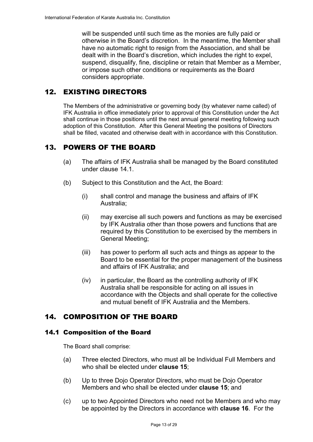will be suspended until such time as the monies are fully paid or otherwise in the Board's discretion. In the meantime, the Member shall have no automatic right to resign from the Association, and shall be dealt with in the Board's discretion, which includes the right to expel, suspend, disqualify, fine, discipline or retain that Member as a Member, or impose such other conditions or requirements as the Board considers appropriate.

## 12. EXISTING DIRECTORS

The Members of the administrative or governing body (by whatever name called) of IFK Australia in office immediately prior to approval of this Constitution under the Act shall continue in those positions until the next annual general meeting following such adoption of this Constitution. After this General Meeting the positions of Directors shall be filled, vacated and otherwise dealt with in accordance with this Constitution.

## 13. POWERS OF THE BOARD

- (a) The affairs of IFK Australia shall be managed by the Board constituted under clause 14.1.
- (b) Subject to this Constitution and the Act, the Board:
	- (i) shall control and manage the business and affairs of IFK Australia;
	- (ii) may exercise all such powers and functions as may be exercised by IFK Australia other than those powers and functions that are required by this Constitution to be exercised by the members in General Meeting;
	- (iii) has power to perform all such acts and things as appear to the Board to be essential for the proper management of the business and affairs of IFK Australia; and
	- (iv) in particular, the Board as the controlling authority of IFK Australia shall be responsible for acting on all issues in accordance with the Objects and shall operate for the collective and mutual benefit of IFK Australia and the Members.

## 14. COMPOSITION OF THE BOARD

#### 14.1 Composition of the Board

The Board shall comprise:

- (a) Three elected Directors, who must all be Individual Full Members and who shall be elected under **clause 15**;
- (b) Up to three Dojo Operator Directors, who must be Dojo Operator Members and who shall be elected under **clause 15**; and
- (c) up to two Appointed Directors who need not be Members and who may be appointed by the Directors in accordance with **clause 16**. For the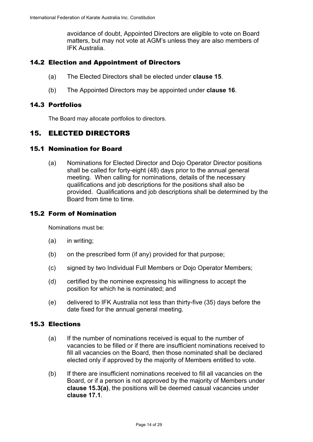avoidance of doubt, Appointed Directors are eligible to vote on Board matters, but may not vote at AGM's unless they are also members of IFK Australia.

#### 14.2 Election and Appointment of Directors

- (a) The Elected Directors shall be elected under **clause 15**.
- (b) The Appointed Directors may be appointed under **clause 16**.

#### 14.3 Portfolios

The Board may allocate portfolios to directors.

#### 15. ELECTED DIRECTORS

#### 15.1 Nomination for Board

(a) Nominations for Elected Director and Dojo Operator Director positions shall be called for forty-eight (48) days prior to the annual general meeting. When calling for nominations, details of the necessary qualifications and job descriptions for the positions shall also be provided. Qualifications and job descriptions shall be determined by the Board from time to time.

#### 15.2 Form of Nomination

Nominations must be:

- (a) in writing;
- (b) on the prescribed form (if any) provided for that purpose;
- (c) signed by two Individual Full Members or Dojo Operator Members;
- (d) certified by the nominee expressing his willingness to accept the position for which he is nominated; and
- (e) delivered to IFK Australia not less than thirty-five (35) days before the date fixed for the annual general meeting.

#### 15.3 Elections

- (a) If the number of nominations received is equal to the number of vacancies to be filled or if there are insufficient nominations received to fill all vacancies on the Board, then those nominated shall be declared elected only if approved by the majority of Members entitled to vote.
- (b) If there are insufficient nominations received to fill all vacancies on the Board, or if a person is not approved by the majority of Members under **clause 15.3(a)**, the positions will be deemed casual vacancies under **clause 17.1**.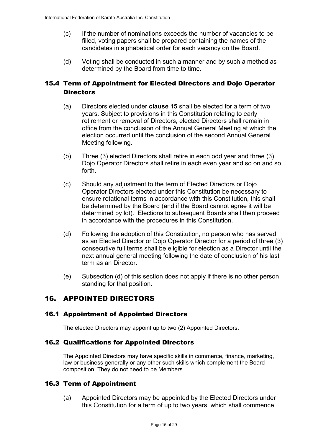- (c) If the number of nominations exceeds the number of vacancies to be filled, voting papers shall be prepared containing the names of the candidates in alphabetical order for each vacancy on the Board.
- (d) Voting shall be conducted in such a manner and by such a method as determined by the Board from time to time.

## 15.4 Term of Appointment for Elected Directors and Dojo Operator **Directors**

- (a) Directors elected under **clause 15** shall be elected for a term of two years. Subject to provisions in this Constitution relating to early retirement or removal of Directors, elected Directors shall remain in office from the conclusion of the Annual General Meeting at which the election occurred until the conclusion of the second Annual General Meeting following.
- (b) Three (3) elected Directors shall retire in each odd year and three (3) Dojo Operator Directors shall retire in each even year and so on and so forth.
- (c) Should any adjustment to the term of Elected Directors or Dojo Operator Directors elected under this Constitution be necessary to ensure rotational terms in accordance with this Constitution, this shall be determined by the Board (and if the Board cannot agree it will be determined by lot). Elections to subsequent Boards shall then proceed in accordance with the procedures in this Constitution.
- (d) Following the adoption of this Constitution, no person who has served as an Elected Director or Dojo Operator Director for a period of three (3) consecutive full terms shall be eligible for election as a Director until the next annual general meeting following the date of conclusion of his last term as an Director.
- (e) Subsection (d) of this section does not apply if there is no other person standing for that position.

## 16. APPOINTED DIRECTORS

## 16.1 Appointment of Appointed Directors

The elected Directors may appoint up to two (2) Appointed Directors.

#### 16.2 Qualifications for Appointed Directors

The Appointed Directors may have specific skills in commerce, finance, marketing, law or business generally or any other such skills which complement the Board composition. They do not need to be Members.

#### 16.3 Term of Appointment

(a) Appointed Directors may be appointed by the Elected Directors under this Constitution for a term of up to two years, which shall commence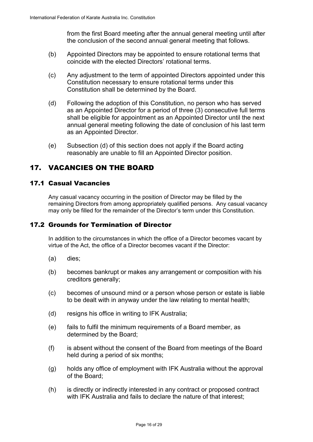from the first Board meeting after the annual general meeting until after the conclusion of the second annual general meeting that follows.

- (b) Appointed Directors may be appointed to ensure rotational terms that coincide with the elected Directors' rotational terms.
- (c) Any adjustment to the term of appointed Directors appointed under this Constitution necessary to ensure rotational terms under this Constitution shall be determined by the Board.
- (d) Following the adoption of this Constitution, no person who has served as an Appointed Director for a period of three (3) consecutive full terms shall be eligible for appointment as an Appointed Director until the next annual general meeting following the date of conclusion of his last term as an Appointed Director.
- (e) Subsection (d) of this section does not apply if the Board acting reasonably are unable to fill an Appointed Director position.

## 17. VACANCIES ON THE BOARD

#### 17.1 Casual Vacancies

Any casual vacancy occurring in the position of Director may be filled by the remaining Directors from among appropriately qualified persons. Any casual vacancy may only be filled for the remainder of the Director's term under this Constitution.

#### 17.2 Grounds for Termination of Director

In addition to the circumstances in which the office of a Director becomes vacant by virtue of the Act, the office of a Director becomes vacant if the Director:

- (a) dies;
- (b) becomes bankrupt or makes any arrangement or composition with his creditors generally;
- (c) becomes of unsound mind or a person whose person or estate is liable to be dealt with in anyway under the law relating to mental health;
- (d) resigns his office in writing to IFK Australia;
- (e) fails to fulfil the minimum requirements of a Board member, as determined by the Board;
- (f) is absent without the consent of the Board from meetings of the Board held during a period of six months;
- (g) holds any office of employment with IFK Australia without the approval of the Board;
- (h) is directly or indirectly interested in any contract or proposed contract with IFK Australia and fails to declare the nature of that interest;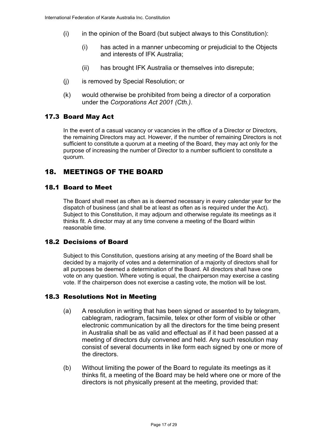- (i) in the opinion of the Board (but subject always to this Constitution):
	- (i) has acted in a manner unbecoming or prejudicial to the Objects and interests of IFK Australia;
	- (ii) has brought IFK Australia or themselves into disrepute;
- (j) is removed by Special Resolution; or
- (k) would otherwise be prohibited from being a director of a corporation under the *Corporations Act 2001 (Cth.)*.

#### 17.3 Board May Act

In the event of a casual vacancy or vacancies in the office of a Director or Directors, the remaining Directors may act. However, if the number of remaining Directors is not sufficient to constitute a quorum at a meeting of the Board, they may act only for the purpose of increasing the number of Director to a number sufficient to constitute a quorum.

## 18. MEETINGS OF THE BOARD

#### 18.1 Board to Meet

The Board shall meet as often as is deemed necessary in every calendar year for the dispatch of business (and shall be at least as often as is required under the Act). Subject to this Constitution, it may adjourn and otherwise regulate its meetings as it thinks fit. A director may at any time convene a meeting of the Board within reasonable time.

#### 18.2 Decisions of Board

Subject to this Constitution, questions arising at any meeting of the Board shall be decided by a majority of votes and a determination of a majority of directors shall for all purposes be deemed a determination of the Board. All directors shall have one vote on any question. Where voting is equal, the chairperson may exercise a casting vote. If the chairperson does not exercise a casting vote, the motion will be lost.

#### 18.3 Resolutions Not in Meeting

- (a) A resolution in writing that has been signed or assented to by telegram, cablegram, radiogram, facsimile, telex or other form of visible or other electronic communication by all the directors for the time being present in Australia shall be as valid and effectual as if it had been passed at a meeting of directors duly convened and held. Any such resolution may consist of several documents in like form each signed by one or more of the directors.
- (b) Without limiting the power of the Board to regulate its meetings as it thinks fit, a meeting of the Board may be held where one or more of the directors is not physically present at the meeting, provided that: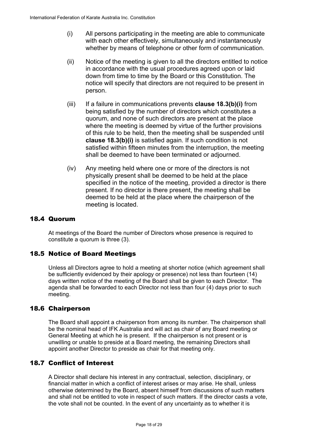- (i) All persons participating in the meeting are able to communicate with each other effectively, simultaneously and instantaneously whether by means of telephone or other form of communication.
- (ii) Notice of the meeting is given to all the directors entitled to notice in accordance with the usual procedures agreed upon or laid down from time to time by the Board or this Constitution. The notice will specify that directors are not required to be present in person.
- (iii) If a failure in communications prevents **clause 18.3(b)(i)** from being satisfied by the number of directors which constitutes a quorum, and none of such directors are present at the place where the meeting is deemed by virtue of the further provisions of this rule to be held, then the meeting shall be suspended until **clause 18.3(b)(i)** is satisfied again. If such condition is not satisfied within fifteen minutes from the interruption, the meeting shall be deemed to have been terminated or adjourned.
- (iv) Any meeting held where one or more of the directors is not physically present shall be deemed to be held at the place specified in the notice of the meeting, provided a director is there present. If no director is there present, the meeting shall be deemed to be held at the place where the chairperson of the meeting is located.

#### 18.4 Quorum

At meetings of the Board the number of Directors whose presence is required to constitute a quorum is three (3).

#### 18.5 Notice of Board Meetings

Unless all Directors agree to hold a meeting at shorter notice (which agreement shall be sufficiently evidenced by their apology or presence) not less than fourteen (14) days written notice of the meeting of the Board shall be given to each Director. The agenda shall be forwarded to each Director not less than four (4) days prior to such meeting.

#### 18.6 Chairperson

The Board shall appoint a chairperson from among its number. The chairperson shall be the nominal head of IFK Australia and will act as chair of any Board meeting or General Meeting at which he is present. If the chairperson is not present or is unwilling or unable to preside at a Board meeting, the remaining Directors shall appoint another Director to preside as chair for that meeting only.

#### 18.7 Conflict of Interest

A Director shall declare his interest in any contractual, selection, disciplinary, or financial matter in which a conflict of interest arises or may arise. He shall, unless otherwise determined by the Board, absent himself from discussions of such matters and shall not be entitled to vote in respect of such matters. If the director casts a vote, the vote shall not be counted. In the event of any uncertainty as to whether it is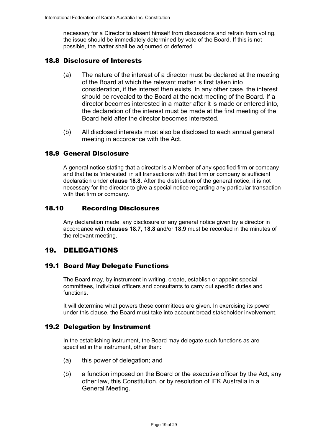necessary for a Director to absent himself from discussions and refrain from voting, the issue should be immediately determined by vote of the Board. If this is not possible, the matter shall be adjourned or deferred.

#### 18.8 Disclosure of Interests

- (a) The nature of the interest of a director must be declared at the meeting of the Board at which the relevant matter is first taken into consideration, if the interest then exists. In any other case, the interest should be revealed to the Board at the next meeting of the Board. If a director becomes interested in a matter after it is made or entered into, the declaration of the interest must be made at the first meeting of the Board held after the director becomes interested.
- (b) All disclosed interests must also be disclosed to each annual general meeting in accordance with the Act.

#### 18.9 General Disclosure

A general notice stating that a director is a Member of any specified firm or company and that he is 'interested' in all transactions with that firm or company is sufficient declaration under **clause 18.8**. After the distribution of the general notice, it is not necessary for the director to give a special notice regarding any particular transaction with that firm or company.

#### 18.10 Recording Disclosures

Any declaration made, any disclosure or any general notice given by a director in accordance with **clauses 18.7**, **18.8** and/or **18.9** must be recorded in the minutes of the relevant meeting.

#### 19. DELEGATIONS

#### 19.1 Board May Delegate Functions

The Board may, by instrument in writing, create, establish or appoint special committees, Individual officers and consultants to carry out specific duties and functions.

It will determine what powers these committees are given. In exercising its power under this clause, the Board must take into account broad stakeholder involvement.

#### 19.2 Delegation by Instrument

In the establishing instrument, the Board may delegate such functions as are specified in the instrument, other than:

- (a) this power of delegation; and
- (b) a function imposed on the Board or the executive officer by the Act, any other law, this Constitution, or by resolution of IFK Australia in a General Meeting.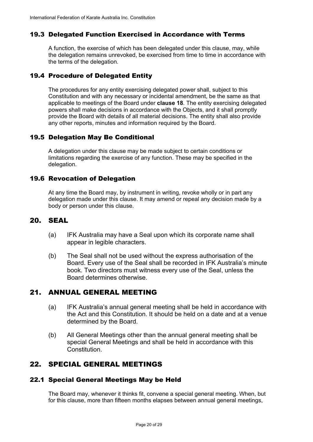#### 19.3 Delegated Function Exercised in Accordance with Terms

A function, the exercise of which has been delegated under this clause, may, while the delegation remains unrevoked, be exercised from time to time in accordance with the terms of the delegation.

#### 19.4 Procedure of Delegated Entity

The procedures for any entity exercising delegated power shall, subject to this Constitution and with any necessary or incidental amendment, be the same as that applicable to meetings of the Board under **clause 18**. The entity exercising delegated powers shall make decisions in accordance with the Objects, and it shall promptly provide the Board with details of all material decisions. The entity shall also provide any other reports, minutes and information required by the Board.

#### 19.5 Delegation May Be Conditional

A delegation under this clause may be made subject to certain conditions or limitations regarding the exercise of any function. These may be specified in the delegation.

#### 19.6 Revocation of Delegation

At any time the Board may, by instrument in writing, revoke wholly or in part any delegation made under this clause. It may amend or repeal any decision made by a body or person under this clause.

#### 20. SEAL

- (a) IFK Australia may have a Seal upon which its corporate name shall appear in legible characters.
- (b) The Seal shall not be used without the express authorisation of the Board. Every use of the Seal shall be recorded in IFK Australia's minute book. Two directors must witness every use of the Seal, unless the Board determines otherwise.

#### 21. ANNUAL GENERAL MEETING

- (a) IFK Australia's annual general meeting shall be held in accordance with the Act and this Constitution. It should be held on a date and at a venue determined by the Board.
- (b) All General Meetings other than the annual general meeting shall be special General Meetings and shall be held in accordance with this **Constitution**

#### 22. SPECIAL GENERAL MEETINGS

#### 22.1 Special General Meetings May be Held

The Board may, whenever it thinks fit, convene a special general meeting. When, but for this clause, more than fifteen months elapses between annual general meetings,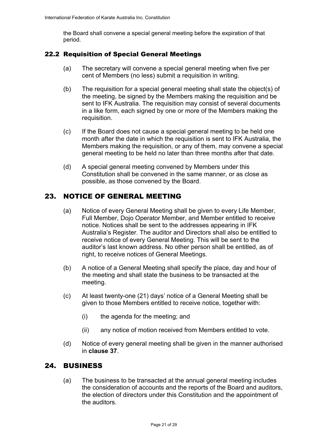the Board shall convene a special general meeting before the expiration of that period.

## 22.2 Requisition of Special General Meetings

- (a) The secretary will convene a special general meeting when five per cent of Members (no less) submit a requisition in writing.
- (b) The requisition for a special general meeting shall state the object(s) of the meeting, be signed by the Members making the requisition and be sent to IFK Australia. The requisition may consist of several documents in a like form, each signed by one or more of the Members making the requisition.
- (c) If the Board does not cause a special general meeting to be held one month after the date in which the requisition is sent to IFK Australia, the Members making the requisition, or any of them, may convene a special general meeting to be held no later than three months after that date.
- (d) A special general meeting convened by Members under this Constitution shall be convened in the same manner, or as close as possible, as those convened by the Board.

## 23. NOTICE OF GENERAL MEETING

- (a) Notice of every General Meeting shall be given to every Life Member, Full Member, Dojo Operator Member, and Member entitled to receive notice. Notices shall be sent to the addresses appearing in IFK Australia's Register. The auditor and Directors shall also be entitled to receive notice of every General Meeting. This will be sent to the auditor's last known address. No other person shall be entitled, as of right, to receive notices of General Meetings.
- (b) A notice of a General Meeting shall specify the place, day and hour of the meeting and shall state the business to be transacted at the meeting.
- (c) At least twenty-one (21) days' notice of a General Meeting shall be given to those Members entitled to receive notice, together with:
	- (i) the agenda for the meeting; and
	- (ii) any notice of motion received from Members entitled to vote.
- (d) Notice of every general meeting shall be given in the manner authorised in **clause 37**.

#### 24. BUSINESS

(a) The business to be transacted at the annual general meeting includes the consideration of accounts and the reports of the Board and auditors, the election of directors under this Constitution and the appointment of the auditors.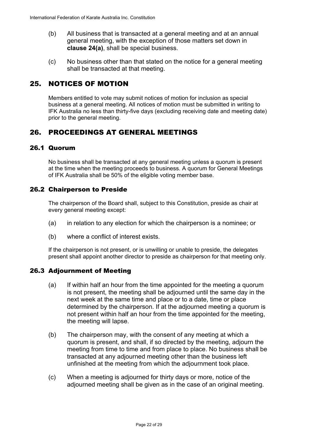- (b) All business that is transacted at a general meeting and at an annual general meeting, with the exception of those matters set down in **clause 24(a)**, shall be special business.
- (c) No business other than that stated on the notice for a general meeting shall be transacted at that meeting.

## 25. NOTICES OF MOTION

Members entitled to vote may submit notices of motion for inclusion as special business at a general meeting. All notices of motion must be submitted in writing to IFK Australia no less than thirty-five days (excluding receiving date and meeting date) prior to the general meeting.

## 26. PROCEEDINGS AT GENERAL MEETINGS

#### 26.1 Quorum

No business shall be transacted at any general meeting unless a quorum is present at the time when the meeting proceeds to business. A quorum for General Meetings of IFK Australia shall be 50% of the eligible voting member base.

#### 26.2 Chairperson to Preside

The chairperson of the Board shall, subject to this Constitution, preside as chair at every general meeting except:

- (a) in relation to any election for which the chairperson is a nominee; or
- (b) where a conflict of interest exists.

If the chairperson is not present, or is unwilling or unable to preside, the delegates present shall appoint another director to preside as chairperson for that meeting only.

#### 26.3 Adjournment of Meeting

- (a) If within half an hour from the time appointed for the meeting a quorum is not present, the meeting shall be adjourned until the same day in the next week at the same time and place or to a date, time or place determined by the chairperson. If at the adjourned meeting a quorum is not present within half an hour from the time appointed for the meeting, the meeting will lapse.
- (b) The chairperson may, with the consent of any meeting at which a quorum is present, and shall, if so directed by the meeting, adjourn the meeting from time to time and from place to place. No business shall be transacted at any adjourned meeting other than the business left unfinished at the meeting from which the adjournment took place.
- (c) When a meeting is adjourned for thirty days or more, notice of the adjourned meeting shall be given as in the case of an original meeting.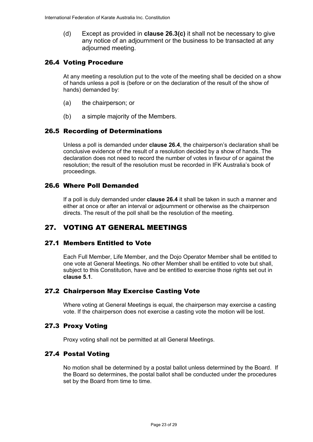(d) Except as provided in **clause 26.3(c)** it shall not be necessary to give any notice of an adjournment or the business to be transacted at any adjourned meeting.

## 26.4 Voting Procedure

At any meeting a resolution put to the vote of the meeting shall be decided on a show of hands unless a poll is (before or on the declaration of the result of the show of hands) demanded by:

- (a) the chairperson; or
- (b) a simple majority of the Members.

#### 26.5 Recording of Determinations

Unless a poll is demanded under **clause 26.4**, the chairperson's declaration shall be conclusive evidence of the result of a resolution decided by a show of hands. The declaration does not need to record the number of votes in favour of or against the resolution; the result of the resolution must be recorded in IFK Australia's book of proceedings.

#### 26.6 Where Poll Demanded

If a poll is duly demanded under **clause 26.4** it shall be taken in such a manner and either at once or after an interval or adjournment or otherwise as the chairperson directs. The result of the poll shall be the resolution of the meeting.

## 27. VOTING AT GENERAL MEETINGS

#### 27.1 Members Entitled to Vote

Each Full Member, Life Member, and the Dojo Operator Member shall be entitled to one vote at General Meetings. No other Member shall be entitled to vote but shall, subject to this Constitution, have and be entitled to exercise those rights set out in **clause 5.1**.

#### 27.2 Chairperson May Exercise Casting Vote

Where voting at General Meetings is equal, the chairperson may exercise a casting vote. If the chairperson does not exercise a casting vote the motion will be lost.

#### 27.3 Proxy Voting

Proxy voting shall not be permitted at all General Meetings.

#### 27.4 Postal Voting

No motion shall be determined by a postal ballot unless determined by the Board. If the Board so determines, the postal ballot shall be conducted under the procedures set by the Board from time to time.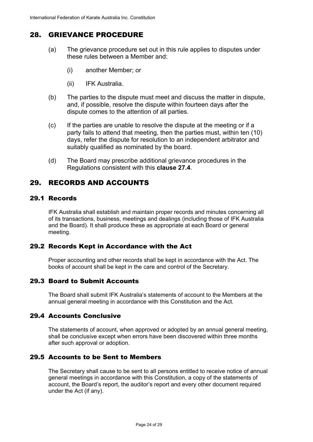## 28. GRIEVANCE PROCEDURE

- (a) The grievance procedure set out in this rule applies to disputes under these rules between a Member and:
	- (i) another Member; or
	- (ii) IFK Australia.
- (b) The parties to the dispute must meet and discuss the matter in dispute, and, if possible, resolve the dispute within fourteen days after the dispute comes to the attention of all parties.
- (c) If the parties are unable to resolve the dispute at the meeting or if a party fails to attend that meeting, then the parties must, within ten (10) days, refer the dispute for resolution to an independent arbitrator and suitably qualified as nominated by the board.
- (d) The Board may prescribe additional grievance procedures in the Regulations consistent with this **clause 27.4**.

## 29. RECORDS AND ACCOUNTS

#### 29.1 Records

IFK Australia shall establish and maintain proper records and minutes concerning all of its transactions, business, meetings and dealings (including those of IFK Australia and the Board). It shall produce these as appropriate at each Board or general meeting.

#### 29.2 Records Kept in Accordance with the Act

Proper accounting and other records shall be kept in accordance with the Act. The books of account shall be kept in the care and control of the Secretary.

#### 29.3 Board to Submit Accounts

The Board shall submit IFK Australia's statements of account to the Members at the annual general meeting in accordance with this Constitution and the Act.

#### 29.4 Accounts Conclusive

The statements of account, when approved or adopted by an annual general meeting, shall be conclusive except when errors have been discovered within three months after such approval or adoption.

#### 29.5 Accounts to be Sent to Members

The Secretary shall cause to be sent to all persons entitled to receive notice of annual general meetings in accordance with this Constitution, a copy of the statements of account, the Board's report, the auditor's report and every other document required under the Act (if any).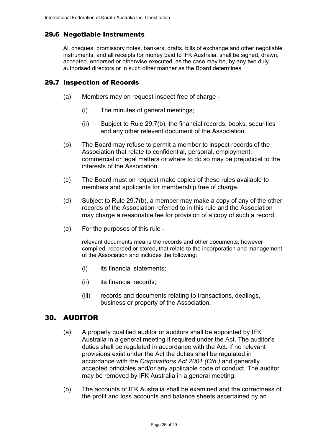## 29.6 Negotiable Instruments

All cheques, promissory notes, bankers, drafts, bills of exchange and other negotiable instruments, and all receipts for money paid to IFK Australia, shall be signed, drawn, accepted, endorsed or otherwise executed, as the case may be, by any two duly authorised directors or in such other manner as the Board determines.

#### 29.7 Inspection of Records

- (a) Members may on request inspect free of charge -
	- (i) The minutes of general meetings;
	- (ii) Subject to Rule 29.7(b), the financial records, books, securities and any other relevant document of the Association.
- (b) The Board may refuse to permit a member to inspect records of the Association that relate to confidential, personal, employment, commercial or legal matters or where to do so may be prejudicial to the interests of the Association.
- (c) The Board must on request make copies of these rules available to members and applicants for membership free of charge.
- (d) Subject to Rule 29.7(b), a member may make a copy of any of the other records of the Association referred to in this rule and the Association may charge a reasonable fee for provision of a copy of such a record.
- (e) For the purposes of this rule -

relevant documents means the records and other documents, however compiled, recorded or stored, that relate to the incorporation and management of the Association and includes the following:

- (i) its financial statements;
- (ii) its financial records;
- (iii) records and documents relating to transactions, dealings, business or property of the Association.

## 30. AUDITOR

- (a) A properly qualified auditor or auditors shall be appointed by IFK Australia in a general meeting if required under the Act. The auditor's duties shall be regulated in accordance with the Act. If no relevant provisions exist under the Act the duties shall be regulated in accordance with the *Corporations Act 2001 (Cth.)* and generally accepted principles and/or any applicable code of conduct. The auditor may be removed by IFK Australia in a general meeting.
- (b) The accounts of IFK Australia shall be examined and the correctness of the profit and loss accounts and balance sheets ascertained by an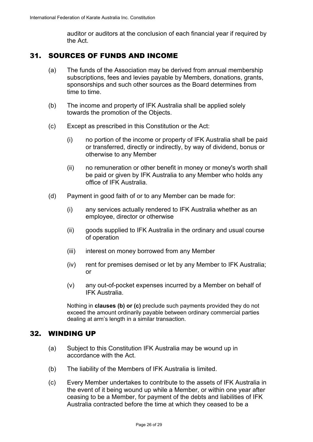auditor or auditors at the conclusion of each financial year if required by the Act.

## 31. SOURCES OF FUNDS AND INCOME

- (a) The funds of the Association may be derived from annual membership subscriptions, fees and levies payable by Members, donations, grants, sponsorships and such other sources as the Board determines from time to time.
- (b) The income and property of IFK Australia shall be applied solely towards the promotion of the Objects.
- (c) Except as prescribed in this Constitution or the Act:
	- (i) no portion of the income or property of IFK Australia shall be paid or transferred, directly or indirectly, by way of dividend, bonus or otherwise to any Member
	- (ii) no remuneration or other benefit in money or money's worth shall be paid or given by IFK Australia to any Member who holds any office of IFK Australia.
- (d) Payment in good faith of or to any Member can be made for:
	- (i) any services actually rendered to IFK Australia whether as an employee, director or otherwise
	- (ii) goods supplied to IFK Australia in the ordinary and usual course of operation
	- (iii) interest on money borrowed from any Member
	- (iv) rent for premises demised or let by any Member to IFK Australia; or
	- (v) any out-of-pocket expenses incurred by a Member on behalf of IFK Australia.

Nothing in **clauses (b) or (c)** preclude such payments provided they do not exceed the amount ordinarily payable between ordinary commercial parties dealing at arm's length in a similar transaction.

## 32. WINDING UP

- (a) Subject to this Constitution IFK Australia may be wound up in accordance with the Act.
- (b) The liability of the Members of IFK Australia is limited.
- (c) Every Member undertakes to contribute to the assets of IFK Australia in the event of it being wound up while a Member, or within one year after ceasing to be a Member, for payment of the debts and liabilities of IFK Australia contracted before the time at which they ceased to be a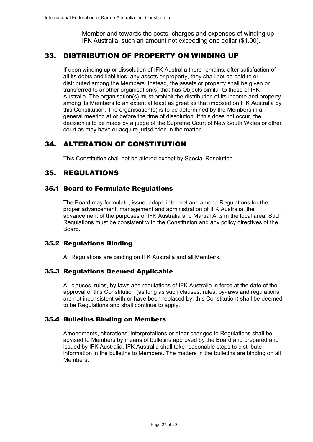Member and towards the costs, charges and expenses of winding up IFK Australia, such an amount not exceeding one dollar (\$1.00).

## 33. DISTRIBUTION OF PROPERTY ON WINDING UP

If upon winding up or dissolution of IFK Australia there remains, after satisfaction of all its debts and liabilities, any assets or property, they shall not be paid to or distributed among the Members. Instead, the assets or property shall be given or transferred to another organisation(s) that has Objects similar to those of IFK Australia. The organisation(s) must prohibit the distribution of its income and property among its Members to an extent at least as great as that imposed on IFK Australia by this Constitution. The organisation(s) is to be determined by the Members in a general meeting at or before the time of dissolution. If this does not occur, the decision is to be made by a judge of the Supreme Court of New South Wales or other court as may have or acquire jurisdiction in the matter.

## 34. ALTERATION OF CONSTITUTION

This Constitution shall not be altered except by Special Resolution.

## 35. REGULATIONS

#### 35.1 Board to Formulate Regulations

The Board may formulate, issue, adopt, interpret and amend Regulations for the proper advancement, management and administration of IFK Australia, the advancement of the purposes of IFK Australia and Martial Arts in the local area. Such Regulations must be consistent with the Constitution and any policy directives of the Board.

#### 35.2 Regulations Binding

All Regulations are binding on IFK Australia and all Members.

#### 35.3 Regulations Deemed Applicable

All clauses, rules, by-laws and regulations of IFK Australia in force at the date of the approval of this Constitution (as long as such clauses, rules, by-laws and regulations are not inconsistent with or have been replaced by, this Constitution) shall be deemed to be Regulations and shall continue to apply.

#### 35.4 Bulletins Binding on Members

Amendments, alterations, interpretations or other changes to Regulations shall be advised to Members by means of bulletins approved by the Board and prepared and issued by IFK Australia. IFK Australia shall take reasonable steps to distribute information in the bulletins to Members. The matters in the bulletins are binding on all Members.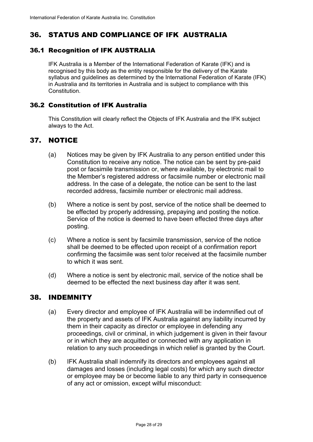## 36. STATUS AND COMPLIANCE OF IFK AUSTRALIA

#### 36.1 Recognition of IFK AUSTRALIA

IFK Australia is a Member of the International Federation of Karate (IFK) and is recognised by this body as the entity responsible for the delivery of the Karate syllabus and guidelines as determined by the International Federation of Karate (IFK) in Australia and its territories in Australia and is subject to compliance with this **Constitution** 

#### 36.2 Constitution of IFK Australia

This Constitution will clearly reflect the Objects of IFK Australia and the IFK subject always to the Act.

## 37. NOTICE

- (a) Notices may be given by IFK Australia to any person entitled under this Constitution to receive any notice. The notice can be sent by pre-paid post or facsimile transmission or, where available, by electronic mail to the Member's registered address or facsimile number or electronic mail address. In the case of a delegate, the notice can be sent to the last recorded address, facsimile number or electronic mail address.
- (b) Where a notice is sent by post, service of the notice shall be deemed to be effected by properly addressing, prepaying and posting the notice. Service of the notice is deemed to have been effected three days after posting.
- (c) Where a notice is sent by facsimile transmission, service of the notice shall be deemed to be effected upon receipt of a confirmation report confirming the facsimile was sent to/or received at the facsimile number to which it was sent.
- (d) Where a notice is sent by electronic mail, service of the notice shall be deemed to be effected the next business day after it was sent.

#### 38. INDEMNITY

- (a) Every director and employee of IFK Australia will be indemnified out of the property and assets of IFK Australia against any liability incurred by them in their capacity as director or employee in defending any proceedings, civil or criminal, in which judgement is given in their favour or in which they are acquitted or connected with any application in relation to any such proceedings in which relief is granted by the Court.
- (b) IFK Australia shall indemnify its directors and employees against all damages and losses (including legal costs) for which any such director or employee may be or become liable to any third party in consequence of any act or omission, except wilful misconduct: